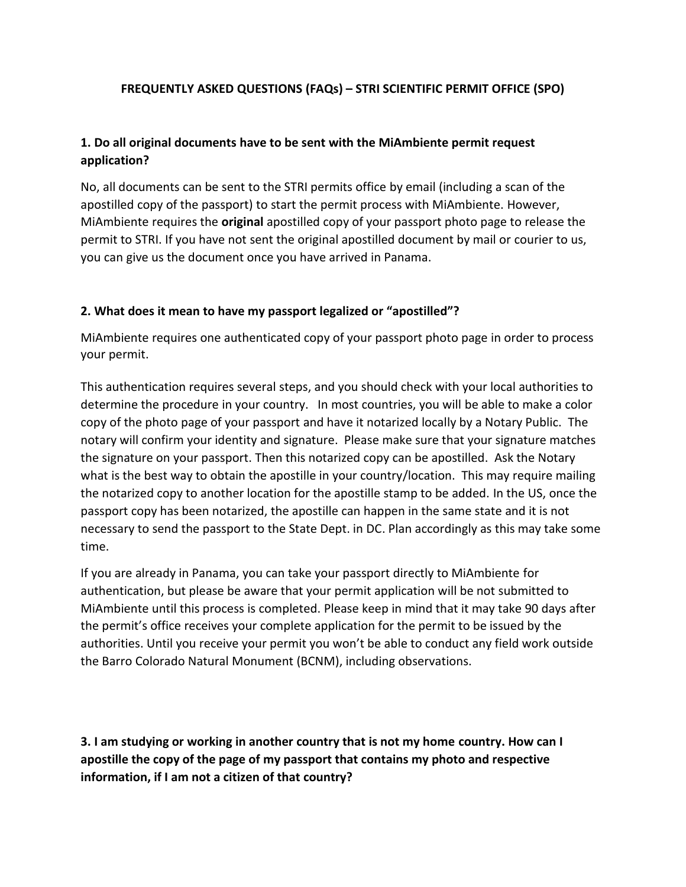### **FREQUENTLY ASKED QUESTIONS (FAQs) – STRI SCIENTIFIC PERMIT OFFICE (SPO)**

## **1. Do all original documents have to be sent with the MiAmbiente permit request application?**

No, all documents can be sent to the STRI permits office by email (including a scan of the apostilled copy of the passport) to start the permit process with MiAmbiente. However, MiAmbiente requires the **original** apostilled copy of your passport photo page to release the permit to STRI. If you have not sent the original apostilled document by mail or courier to us, you can give us the document once you have arrived in Panama.

#### **2. What does it mean to have my passport legalized or "apostilled"?**

MiAmbiente requires one authenticated copy of your passport photo page in order to process your permit.

This authentication requires several steps, and you should check with your local authorities to determine the procedure in your country. In most countries, you will be able to make a color copy of the photo page of your passport and have it notarized locally by a Notary Public. The notary will confirm your identity and signature. Please make sure that your signature matches the signature on your passport. Then this notarized copy can be apostilled. Ask the Notary what is the best way to obtain the apostille in your country/location. This may require mailing the notarized copy to another location for the apostille stamp to be added. In the US, once the passport copy has been notarized, the apostille can happen in the same state and it is not necessary to send the passport to the State Dept. in DC. Plan accordingly as this may take some time.

If you are already in Panama, you can take your passport directly to MiAmbiente for authentication, but please be aware that your permit application will be not submitted to MiAmbiente until this process is completed. Please keep in mind that it may take 90 days after the permit's office receives your complete application for the permit to be issued by the authorities. Until you receive your permit you won't be able to conduct any field work outside the Barro Colorado Natural Monument (BCNM), including observations.

**3. I am studying or working in another country that is not my home country. How can I apostille the copy of the page of my passport that contains my photo and respective information, if I am not a citizen of that country?**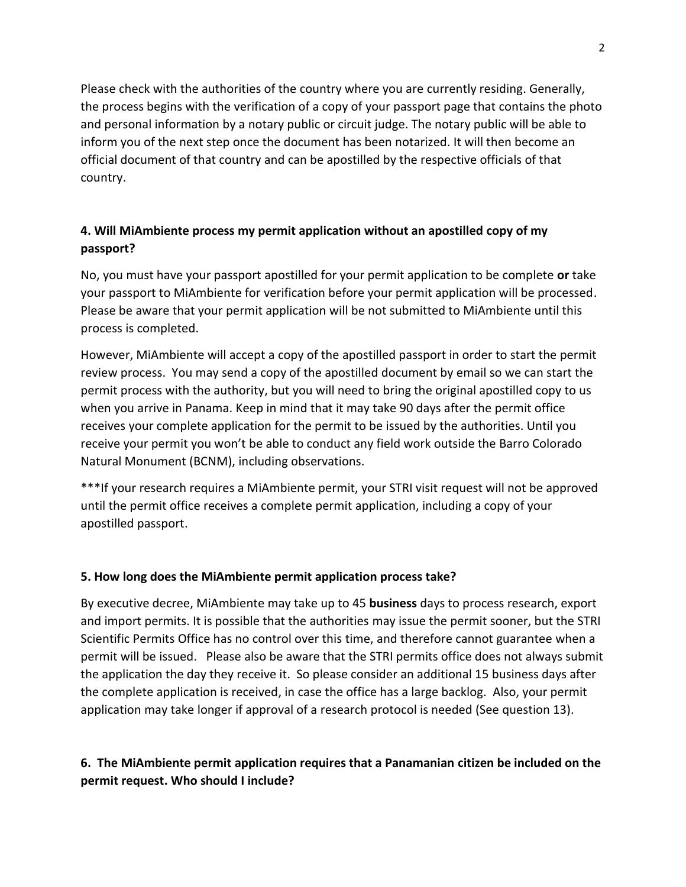Please check with the authorities of the country where you are currently residing. Generally, the process begins with the verification of a copy of your passport page that contains the photo and personal information by a notary public or circuit judge. The notary public will be able to inform you of the next step once the document has been notarized. It will then become an official document of that country and can be apostilled by the respective officials of that country.

# **4. Will MiAmbiente process my permit application without an apostilled copy of my passport?**

No, you must have your passport apostilled for your permit application to be complete **or** take your passport to MiAmbiente for verification before your permit application will be processed. Please be aware that your permit application will be not submitted to MiAmbiente until this process is completed.

However, MiAmbiente will accept a copy of the apostilled passport in order to start the permit review process. You may send a copy of the apostilled document by email so we can start the permit process with the authority, but you will need to bring the original apostilled copy to us when you arrive in Panama. Keep in mind that it may take 90 days after the permit office receives your complete application for the permit to be issued by the authorities. Until you receive your permit you won't be able to conduct any field work outside the Barro Colorado Natural Monument (BCNM), including observations.

\*\*\*If your research requires a MiAmbiente permit, your STRI visit request will not be approved until the permit office receives a complete permit application, including a copy of your apostilled passport.

## **5. How long does the MiAmbiente permit application process take?**

By executive decree, MiAmbiente may take up to 45 **business** days to process research, export and import permits. It is possible that the authorities may issue the permit sooner, but the STRI Scientific Permits Office has no control over this time, and therefore cannot guarantee when a permit will be issued. Please also be aware that the STRI permits office does not always submit the application the day they receive it. So please consider an additional 15 business days after the complete application is received, in case the office has a large backlog. Also, your permit application may take longer if approval of a research protocol is needed (See question 13).

# **6. The MiAmbiente permit application requires that a Panamanian citizen be included on the permit request. Who should I include?**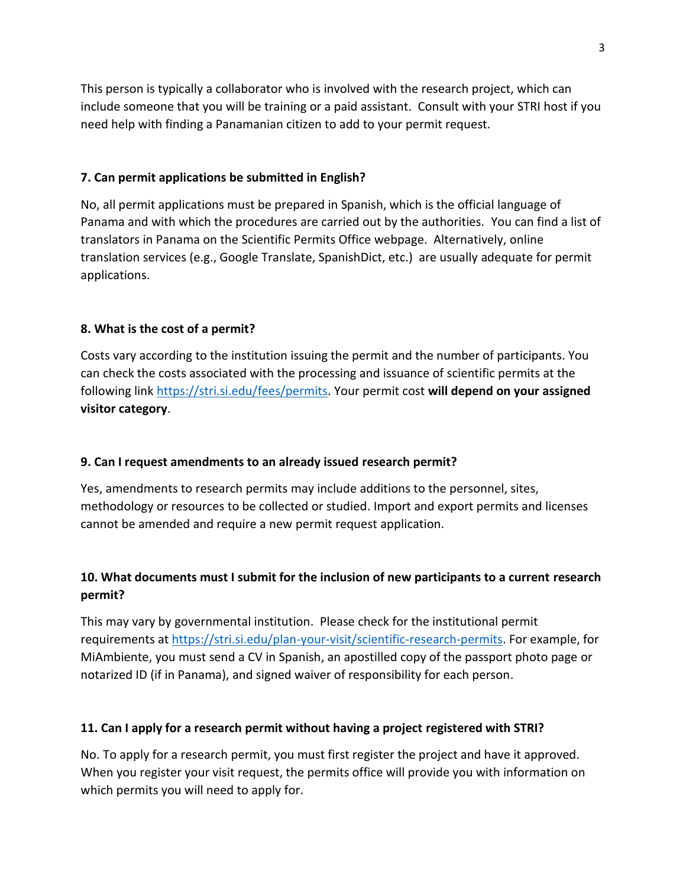This person is typically a collaborator who is involved with the research project, which can include someone that you will be training or a paid assistant. Consult with your STRI host if you need help with finding a Panamanian citizen to add to your permit request.

#### **7. Can permit applications be submitted in English?**

No, all permit applications must be prepared in Spanish, which is the official language of Panama and with which the procedures are carried out by the authorities. You can find a list of translators in Panama on the Scientific Permits Office webpage. Alternatively, online translation services (e.g., Google Translate, SpanishDict, etc.) are usually adequate for permit applications.

## **8. What is the cost of a permit?**

Costs vary according to the institution issuing the permit and the number of participants. You can check the costs associated with the processing and issuance of scientific permits at the following link [https://stri.si.edu/fees/permits.](https://stri.si.edu/fees/permits) Your permit cost **will depend on your assigned visitor category**.

#### **9. Can I request amendments to an already issued research permit?**

Yes, amendments to research permits may include additions to the personnel, sites, methodology or resources to be collected or studied. Import and export permits and licenses cannot be amended and require a new permit request application.

# **10. What documents must I submit for the inclusion of new participants to a current research permit?**

This may vary by governmental institution. Please check for the institutional permit requirements at [https://stri.si.edu/plan-your-visit/scientific-research-permits.](https://stri.si.edu/plan-your-visit/scientific-research-permits) For example, for MiAmbiente, you must send a CV in Spanish, an apostilled copy of the passport photo page or notarized ID (if in Panama), and signed waiver of responsibility for each person.

#### **11. Can I apply for a research permit without having a project registered with STRI?**

No. To apply for a research permit, you must first register the project and have it approved. When you register your visit request, the permits office will provide you with information on which permits you will need to apply for.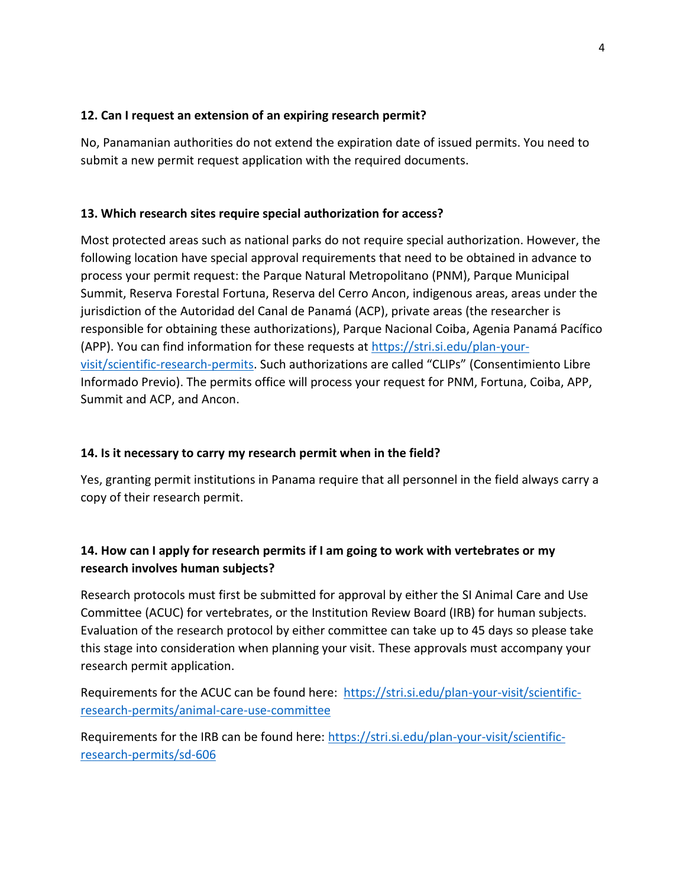#### **12. Can I request an extension of an expiring research permit?**

No, Panamanian authorities do not extend the expiration date of issued permits. You need to submit a new permit request application with the required documents.

## **13. Which research sites require special authorization for access?**

Most protected areas such as national parks do not require special authorization. However, the following location have special approval requirements that need to be obtained in advance to process your permit request: the Parque Natural Metropolitano (PNM), Parque Municipal Summit, Reserva Forestal Fortuna, Reserva del Cerro Ancon, indigenous areas, areas under the jurisdiction of the Autoridad del Canal de Panamá (ACP), private areas (the researcher is responsible for obtaining these authorizations), Parque Nacional Coiba, Agenia Panamá Pacífico (APP). You can find information for these requests at [https://stri.si.edu/plan-your](https://stri.si.edu/plan-your-visit/scientific-research-permits)[visit/scientific-research-permits.](https://stri.si.edu/plan-your-visit/scientific-research-permits) Such authorizations are called "CLIPs" (Consentimiento Libre Informado Previo). The permits office will process your request for PNM, Fortuna, Coiba, APP, Summit and ACP, and Ancon.

# **14. Is it necessary to carry my research permit when in the field?**

Yes, granting permit institutions in Panama require that all personnel in the field always carry a copy of their research permit.

# **14. How can I apply for research permits if I am going to work with vertebrates or my research involves human subjects?**

Research protocols must first be submitted for approval by either the SI Animal Care and Use Committee (ACUC) for vertebrates, or the Institution Review Board (IRB) for human subjects. Evaluation of the research protocol by either committee can take up to 45 days so please take this stage into consideration when planning your visit. These approvals must accompany your research permit application.

Requirements for the ACUC can be found here: [https://stri.si.edu/plan-your-visit/scientific](https://stri.si.edu/plan-your-visit/scientific-research-permits/animal-care-use-committee)[research-permits/animal-care-use-committee](https://stri.si.edu/plan-your-visit/scientific-research-permits/animal-care-use-committee)

Requirements for the IRB can be found here: [https://stri.si.edu/plan-your-visit/scientific](https://stri.si.edu/plan-your-visit/scientific-research-permits/sd-606)[research-permits/sd-606](https://stri.si.edu/plan-your-visit/scientific-research-permits/sd-606)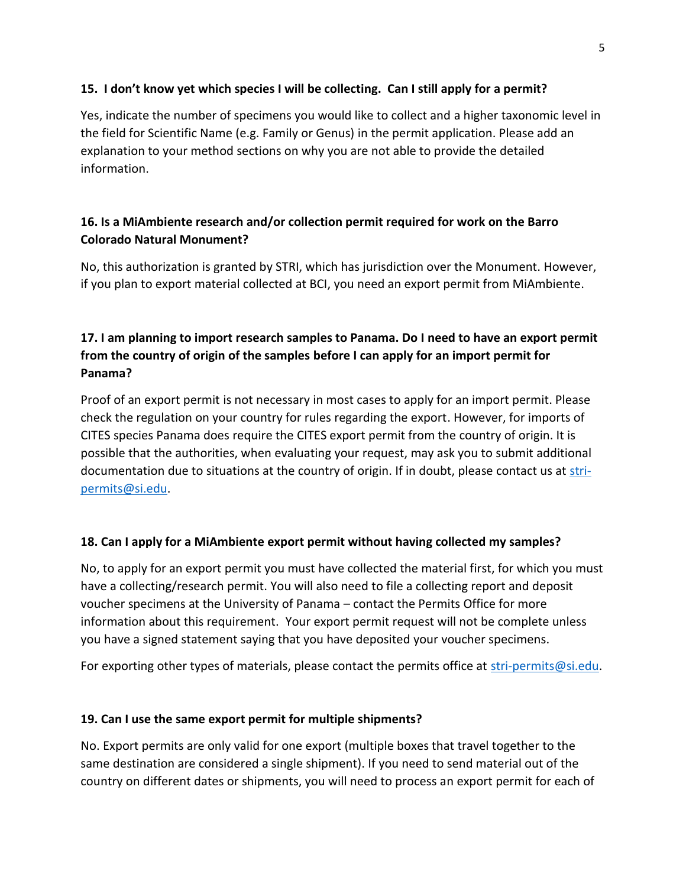#### **15. I don't know yet which species I will be collecting. Can I still apply for a permit?**

Yes, indicate the number of specimens you would like to collect and a higher taxonomic level in the field for Scientific Name (e.g. Family or Genus) in the permit application. Please add an explanation to your method sections on why you are not able to provide the detailed information.

## **16. Is a MiAmbiente research and/or collection permit required for work on the Barro Colorado Natural Monument?**

No, this authorization is granted by STRI, which has jurisdiction over the Monument. However, if you plan to export material collected at BCI, you need an export permit from MiAmbiente.

# **17. I am planning to import research samples to Panama. Do I need to have an export permit from the country of origin of the samples before I can apply for an import permit for Panama?**

Proof of an export permit is not necessary in most cases to apply for an import permit. Please check the regulation on your country for rules regarding the export. However, for imports of CITES species Panama does require the CITES export permit from the country of origin. It is possible that the authorities, when evaluating your request, may ask you to submit additional documentation due to situations at the country of origin. If in doubt, please contact us at [stri](mailto:stri-permits@si.edu)[permits@si.edu.](mailto:stri-permits@si.edu)

## **18. Can I apply for a MiAmbiente export permit without having collected my samples?**

No, to apply for an export permit you must have collected the material first, for which you must have a collecting/research permit. You will also need to file a collecting report and deposit voucher specimens at the University of Panama – contact the Permits Office for more information about this requirement. Your export permit request will not be complete unless you have a signed statement saying that you have deposited your voucher specimens.

For exporting other types of materials, please contact the permits office at [stri-permits@si.edu.](mailto:stri-permits@si.edu)

#### **19. Can I use the same export permit for multiple shipments?**

No. Export permits are only valid for one export (multiple boxes that travel together to the same destination are considered a single shipment). If you need to send material out of the country on different dates or shipments, you will need to process an export permit for each of